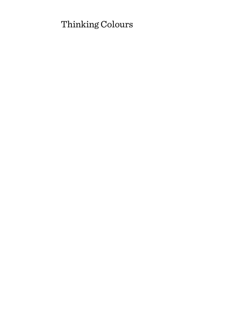# Thinking Colours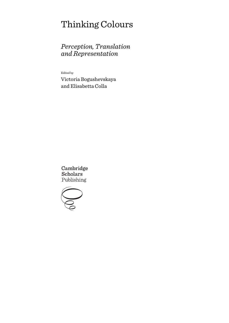# Thinking Colours

# *Perception, Translation and Representation*

Edited by

Victoria Bogushevskaya and Elisabetta Colla

Cambridge **Scholars** Publishing

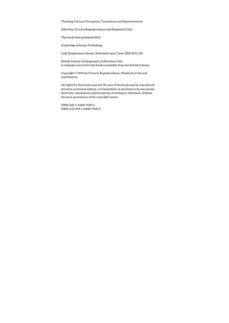Thinking Colours: Perception, Translation and Representation

Edited by Victoria Bogushevskaya and Elisabetta Colla

This book first published 2015

Cambridge Scholars Publishing

Lady Stephenson Library, Newcastle upon Tyne, NE6 2PA, UK

British Library Cataloguing in Publication Data A catalogue record for this book is available from the British Library

Copyright © 2015 by Victoria Bogushevskaya, Elisabetta Colla and contributors

All rights for this book reserved. No part of this book may be reproduced, stored in a retrieval system, or transmitted, in any form or by any means, electronic, mechanical, photocopying, recording or otherwise, without the prior permission of the copyright owner.

ISBN (10): 1-4438-7529-5 ISBN (13): 978-1-4438-7529-5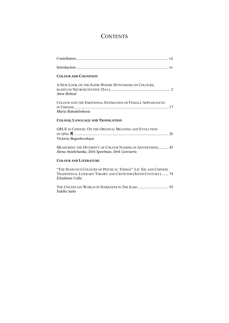# **CONTENTS**

| <b>COLOUR AND COGNITION</b>                                                                                                                         |
|-----------------------------------------------------------------------------------------------------------------------------------------------------|
| A NEW LOOK ON THE SAPIR-WHORF HYPOTHESIS ON COLOURS,<br>Anne Reboul                                                                                 |
| COLOUR AND THE EMOTIONAL ESTIMATION OF FEMALE APPEARANCES<br>Maria Rukodelnikova                                                                    |
| <b>COLOUR, LANGUAGE AND TRANSLATION</b>                                                                                                             |
| <b>GRUE IN CHINESE: ON THE ORIGINAL MEANING AND EVOLUTION</b><br>Victoria Bogushevskaya                                                             |
| MEASURING THE DIVERSITY OF COLOUR NAMING IN ADVERTISING 45<br>Alena Anishchanka, Dirk Speelman, Dirk Geeraerts                                      |
| <b>COLOUR AND LITERATURE</b>                                                                                                                        |
| "THE SENSUOUS COLOURS OF PHYSICAL THINGS": LIU XIE AND CHINESE<br>TRADITIONAL LITERARY THEORY AND CRITICISM (SIXTH CENTURY)  74<br>Elisabetta Colla |
| Yukiko Saito                                                                                                                                        |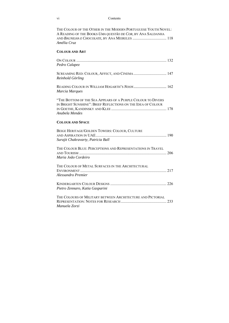## vi Contents

| THE COLOUR OF THE OTHER IN THE MODERN PORTUGUESE YOUTH NOVEL:<br>A READING OF THE BOOKS UMA QUESTÃO DE COR, BY ANA SALDANHA<br>Amélia Cruz    |  |
|-----------------------------------------------------------------------------------------------------------------------------------------------|--|
| <b>COLOUR AND ART</b>                                                                                                                         |  |
| Pedro Calapez                                                                                                                                 |  |
| SCREAMING RED: COLOUR, AFFECT, AND CINEMA 147<br>Reinhold Görling                                                                             |  |
| Marcia Marques                                                                                                                                |  |
| "THE BOTTOM OF THE SEA APPEARS OF A PURPLE COLOUR TO DIVERS<br>IN BRIGHT SUNSHINE": BRIEF REFLECTIONS ON THE IDEA OF COLOUR<br>Anabela Mendes |  |
| <b>COLOUR AND SPACE</b>                                                                                                                       |  |
| BEIGE HERITAGE/GOLDEN TOWERS: COLOUR, CULTURE<br>Surajit Chakravarty, Patricia Ball                                                           |  |
| THE COLOUR BLUE: PERCEPTIONS AND REPRESENTATIONS IN TRAVEL<br>Maria João Cordeiro                                                             |  |
| THE COLOUR OF METAL SURFACES IN THE ARCHITECTURAL<br>Alessandro Premier                                                                       |  |
| Pietro Zennaro, Katia Gasparini                                                                                                               |  |
| THE COLOURS OF MILITARY BETWEEN ARCHITECTURE AND PICTORIAL<br>Manuela Zorzi                                                                   |  |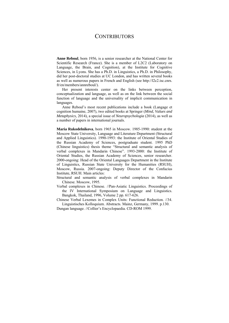# **CONTRIBUTORS**

**Anne Reboul**, born 1956, is a senior researcher at the National Center for Scientific Research (France). She is a member of L2C2 (Laboratory on Language, the Brain, and Cognition), at the Institute for Cognitive Sciences, in Lyons. She has a Ph.D. in Linguistics, a Ph.D. in Philosophy, did her post-doctoral studies at UC London, and has written several books as well as numerous papers in French and English (see http://l2c2.isc.cnrs. fr/en/members/annreboul/).

Her present interests center on the links between perception, conceptualization and language, as well as on the link between the social function of language and the universality of implicit communication in languages.

Anne Reboul's most recent publications include a book (Langage et cognition humaine, 2007), two edited books at Springer (*Mind, Values and Metaphysics*, 2014), a special issue of *Neuropsychologia* (2014), as well as a number of papers in international journals.

**Maria Rukodelnikova**, born 1965 in Moscow. 1985-1990: student at the Moscow State University, Language and Literature Department (Structural and Applied Linguistics). 1990-1993: the Institute of Oriental Studies of the Russian Academy of Sciences, postgraduate student. 1995 PhD (Chinese linguistics) thesis theme "Structural and semantic analysis of verbal complexes in Mandarin Chinese". 1993-2000: the Institute of Oriental Studies, the Russian Academy of Sciences, senior researcher. 2000-ongoing: Head of the Oriental Languages Department in the Institute of Linguistics, Russian State University for the Humanities (RSUH), Moscow, Russia. 2007-ongoing: Deputy Director of the Confucius Institute, RSUH. Main articles:

- Structural and semantic analysis of verbal complexes in Mandarin Chinese. Moscow, 1995.
- Verbal complexes in Chinese. //Pan-Asiatic Linguistics. Proceedings of the IV International Symposium on Language and Linguistics. Bangkok, Thailand, 1996, Volume 2 pp. 617-626.
- Chinese Verbal Lexemes in Complex Units: Functional Reduction. //34. Linguistisches Kolloquium. Abstracts. Mainz, Germany, 1999. p.130.
- Dungan language. //Collier's Encyclopaedia. CD-ROM 1999.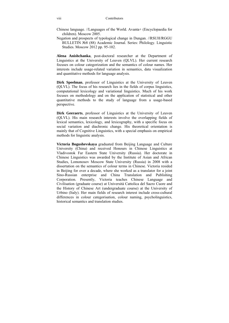#### viii Contributors

- Chinese language. //Languages of the World. Avanta+ (Encyclopaedia for children). Moscow 2005.
- Negation and prospects of typological change in Dungan. //RSUH/RGGU BULLETIN №8 (88) Academic Journal. Series: Philology. Linguistic Studies. Moscow 2012 pp. 95-102.

**Alena Anishchanka**, post-doctoral researcher at the Department of Linguistics at the University of Leuven (QLVL). Her current research focuses on colour categorization and the semantics of colour names. Her interests include usage-related variation in semantics, data visualization and quantitative methods for language analysis.

**Dirk Speelman**, professor of Linguistics at the University of Leuven (QLVL). The focus of his research lies in the fields of corpus linguistics, computational lexicology and variational linguistics. Much of his work focuses on methodology and on the application of statistical and other quantitative methods to the study of language from a usage-based perspective.

**Dirk Geeraerts**, professor of Linguistics at the University of Leuven (QLVL). His main research interests involve the overlapping fields of lexical semantics, lexicology, and lexicography, with a specific focus on social variation and diachronic change. His theoretical orientation is mainly that of Cognitive Linguistics, with a special emphasis on empirical methods for linguistic analysis.

**Victoria Bogushevskaya** graduated from Beijing Language and Culture University (China) and received Honours in Chinese Linguistics at Vladivostok Far Eastern State University (Russia). Her doctorate in Chinese Linguistics was awarded by the Institute of Asian and African Studies, Lomonosov Moscow State University (Russia) in 2008 with a dissertation on the semantics of colour terms in Chinese. Victoria resided in Beijing for over a decade, where she worked as a translator for a joint Sino-Russian enterprise and China Translation and Publishing Corporation. Presently, Victoria teaches Chinese Language and Civilisation (graduate course) at Università Cattolica del Sacro Cuore and the History of Chinese Art (undergraduate course) at the University of Urbino (Italy). Her main fields of research interest include cross-cultural differences in colour categorisation, colour naming, psycholinguistics, historical semantics and translation studies.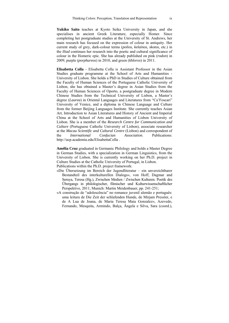**Yukiko Saito** teaches at Kyoto Seika University in Japan, and she specialises in ancient Greek Literature, especially Homer. Since completing her postgraduate studies at the University of St. Andrews, her main research has focused on the expression of colour in antiquity. Her current study of grey, dark-colour terms (*polios, kelainos, skotos,* etc.) in the *Iliad* continues her research into the poetic and cultural significance of colour in the Homeric epic. She has already published on pink (*rodon*) in 2009, purple (*porphureos*) in 2010, and green (*khloros*) in 2011.

**Elisabetta Colla** - Elisabetta Colla is Assistant Professor in the Asian Studies graduate programme at the School of Arts and Humanities - University of Lisbon. She holds a PhD in Studies of Culture obtained from the Faculty of Human Sciences of the Portuguese Catholic University of Lisbon, she has obtained a Master's degree in Asian Studies from the Faculty of Human Sciences of Oporto, a postgraduate degree in Modern Chinese Studies from the Technical University of Lisbon, a Master's degree (*Laurea*) in Oriental Languages and Literatures from "Ca'Foscari" University of Venice, and a diploma in Chinese Language and Culture from the former Beijing Languages Institute. She currently teaches Asian Art, Introduction to Asian Literatures and History of Ancient and Imperial China at the School of Arts and Humanities of Lisbon University of Lisbon. She is a member of the *Research Centre for Communication and Culture* (Portuguese Catholic University of Lisbon), associate researcher at the *Macau Scientific and Cultural Centre* (Lisbon) and correspondent of the *International Confucian Association*. Publications: http://ucp.academia.edu/ElisabettaColla .

**Amélia Cruz** graduated in Germanic Philology and holds a Master Degree in German Studies, with a specialization in German Linguistics, from the University of Lisbon. She is currently working on her Ph.D. project in Culture Studies at the Catholic University of Portugal, in Lisbon.

Publications within the Ph.D. project framework:

- «Die Übersetzung im Bereich der Jugendliteratur ein unverzichtbarer Bestandteil des interkulturellen Dialogs», von Hoff, Dagmar and Seruya, Teresa (Hg.), Zwischen Medien / Zwischen Kulturen. Poetik des Übergangs in philologischer, filmischer und Kulturwissenschaftlicher Perspektive, 2011, Munich: Martin Meidenbauer, pp. 241-251;
- «A construção de "adolescência" no romance juvenil alemão e português: uma leitura de Die Zeit der schlafenden Hunde, de Mirjam Pressler, e de A Lua de Joana, de Maria Teresa Maia Gonzalez», Azevedo, Fernando, Mesquita, Armindo, Balça, Ângela e Silva, Sara (coord.),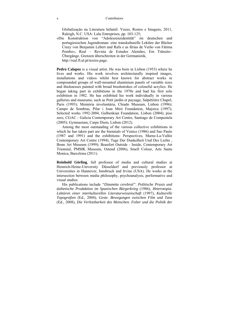Globalização na Literatura Infantil. Vozes, Rostos e Imagens, 2011, Raleigh, N.C. USA: Lulu Entreprises, pp. 103-125;

«Die Konstruktion von "Adoleszenzidentität" im deutschen und portugiesischen Jugendroman: eine transkulturelle Lektüre der Bücher Crazy von Benjamin Lebert und Rafa e as férias de Verão von Fátima Pombo», Real – Revista de Estudos Alemães, Em Trânsito– Übergänge. Grenzen überschreiten in der Germanistik, http://real.fl.ul.pt/textos.page.

**Pedro Calapez** is a visual artist. He was born in Lisbon (1953) where he lives and works. His work involves architecturally inspired images, installations and videos whilst best known for abstract works in compounded groups of wall-mounted aluminium panels of variable sizes and thicknesses painted with broad brushstrokes of colourful acrylics. He began taking part in exhibitions in the 1970s and had his first solo exhibition in 1982. He has exhibited his work individually in various galleries and museums, such as Petit jardin et paysage, Salpêtriére Chapel, Paris (1993); Memória involuntária, Chiado Museum, Lisbon (1996); Campo de Sombras, Pilar i Joan Miró Foundation, Majorca (1997); Selected works 1992-2004, Gulbenkian Foundation, Lisbon (2004); piso zero, CGAC - Galicia Contemporary Art Centre, Santiago de Compostela (2005); Gymnasium, Carpe Diem, Lisbon (2012).

Among the most outstanding of the various collective exhibitions in which he has taken part are the biennials of Venice (1986) and Sao Paulo (1987 and 1991) and the exhibitions: Perspectives, Marne-La-Vallée Contemporary Art Centre (1994); Tage Der Dunkelheit Und Des Lichts , Bonn Art Museum (1999); Beaufort Outside - Inside, Contemporary Art Triennial, PMMK Museum, Ostend (2006), Smell Colour, Arts Santa Monica, Barcelona (2011).

**Reinhold Görling**, full professor of media and cultural studies at Heinrich-Heine-University Düsseldorf and previously professor at Universities in Hannover, Innsbruck and Irvine (USA). He works at the intersection between media philosophy, psychoanalysis, performative and visual studies.

His publications include *"Dinamita cerebral"*. *Politische Praxis und ästhetische Produktion im Spanischen Bürgerkrieg* (1986), *Heterotopia. Lektüren einer interkulturellen Literaturwissenschaft* (1997), *Kulturelle Topografien* (Ed., 2004), *Geste. Bewegungen zwischen Film und Tanz*  (Ed., 2008), *Die Verletzbarkeit des Menschen. Folter und die Politik der*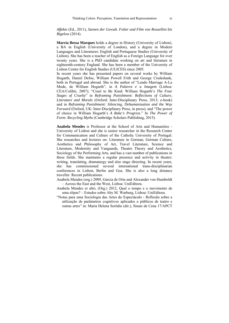*Affekte* (Ed., 2011), *Szenen der Gewalt. Folter und Film von Rossellini bis Bigelow* (2014).

**Marcia Bessa Marques** holds a degree in History (University of Lisbon), a BA in English (University of London), and a degree in Modern Languages and Literatures: English and Portuguese Studies (University of Lisbon). She has been a teacher of English as a Foreign Language for over twenty years. She is a PhD candidate working on art and literature in eighteenth-century England. She has been a member of the University of Lisbon Centre for English Studies (ULICES) since 2005.

In recent years she has presented papers on several works by William Hogarth, Daniel Defoe, William Powell Frith and George Cruikshank, both in Portugal and abroad. She is the author of "Lendo Marriage A-La Mode, de William Hogarth", in *A Palavra e a Imagem* (Lisboa: CEA/Colibri, 2007); "Cruel to Be Kind: William Hogarth's *The Four Stages of Cruelty*" in *Reframing Punishment: Reflections of Culture, Literature and Morals* (Oxford: Inter-Disciplinary Press, 2013; e-book) and in *Reframing Punishment: Silencing, Dehumanisation and the Way Forward* (Oxford, UK: Inter-Disciplinary Press, in press); and "The power of choice in William Hogarth's *A Rake's Progress*." In *The Power of Form: Recycling Myths* (Cambridge Scholars Publishing, 2015).

**Anabela Mendes** is Professor at the School of Arts and Humanities - University of Lisbon and she is senior researcher in the Research Center for Communication and Culture of the Catholic University of Portugal. She researches and lectures on: Literature in German, German Culture, Aesthetics and Philosophy of Art, Travel Literature, Science and Literature, Modernity and Vanguards, Theatre Theory and Aesthetics, Sociology of the Performing Arts, and has a vast number of publications in these fields. She maintains a regular presence and activity in theatre: writing, translating, dramaturgy and also stage directing. In recent years, she has commissioned several international trans-disciplinarian conferences in Lisbon, Berlin and Goa. She is also a long distance traveller. Recent publications:

- Anabela Mendes (org.) 2009, Garcia de Orta and Alexander von Humboldt – Across the East and the West, Lisboa: UniEditora.
- Anabela Mendes et altri, (Org.) 2012, Qual o tempo e o movimento de uma elipse? – Estudos sobre Aby M. Warburg, Lisboa: UniEditora.
- "Notas para uma Sociologia das Artes do Espectáculo Reflexão sobre a utilização de parâmetros cognitivos aplicados a públicos de teatro e outras artes" in: Maria Helena Serôdio (dir.), Sinais de Cena 17/APCT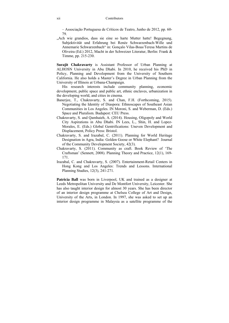– Associação Portuguesa de Críticos de Teatro, Junho de 2012, pp. 60- 79.

"Ach wie grandios, dass sie eine so harte Mutter hatte! Begegnung, Subjektivität und Erfahrung bei Renée Schwarzenbach-Wille und Annemarie Schwarzenbach" in: Gonçalo Vilas-Boas/Teresa Martins de Oliveira (Ed.) 2012, Macht in der Schweizer Literatur, Berlin: Frank & Timme, pp. 215-230.

**Surajit Chakravarty** is Assistant Professor of Urban Planning at ALHOSN University in Abu Dhabi. In 2010, he received his PhD in Policy, Planning and Development from the University of Southern California. He also holds a Master's Degree in Urban Planning from the University of Illinois at Urbana-Champaign.

His research interests include community planning, economic development, public space and public art, ethnic enclaves, urbanization in the developing world, and cities in cinema.

- Banerjee, T., Chakravarty, S. and Chan, F.H. (Forthcoming, 2015). Negotiating the Identity of Diaspora: Ethnoscapes of Southeast Asian Communities in Los Angeles. IN Moroni, S. and Weberman, D. (Eds.) Space and Pluralism. Budapest: CEU Press.
- Chakravarty, S. and Qamhaieh, A. (2014). Housing, Oligopoly and World City Aspirations in Abu Dhabi. IN Lees, L., Shin, H. and Lopez-Morales, E. (Eds.) Global Gentrifications: Uneven Development and Displacement, Policy Press: Bristol.
- Chakravarty, S. and Irazabal, C. (2011). Planning for World Heritage Designation in Agra, India: Golden Goose or White Elephant? Journal of the Community Development Society, 42(3).
- Chakravarty, S. (2011). Community as craft. Book Review of 'The Craftsman' (Sennett, 2008). Planning Theory and Practice, 12(1), 169- 171.
- Irazabal, C. and Chakravarty, S. (2007). Entertainment-Retail Centers in Hong Kong and Los Angeles: Trends and Lessons. International Planning Studies, 12(3), 241-271.

**Patricia Ball** was born in Liverpool, UK and trained as a designer at Leeds Metropolitan University and De Montfort University, Leicester. She has also taught interior design for almost 30 years. She has been director of an interior design programme at Chelsea College of Art and Design, University of the Arts, in London. In 1997, she was asked to set up an interior design programme in Malaysia as a satellite programme of the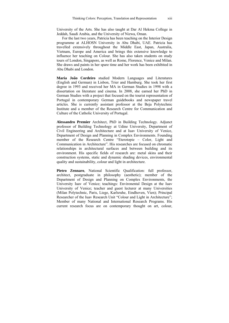University of the Arts. She has also taught at Dar Al Hekma College in Jeddah, Saudi Arabia, and the University of Nizwa, Oman.

For the last two years, Patricia has been teaching on the Interior Design programme at ALHOSN University in Abu Dhabi, UAE. Patricia has travelled extensively throughout the Middle East, Japan, Australia, Vietnam, Europe and America and brings this extensive knowledge to influence her teaching on Colour. She has also taken students on study tours of London, Singapore, as well as Rome, Florence, Venice and Milan. She draws and paints in her spare time and her work has been exhibited in Abu Dhabi and London.

**Maria João Cordeiro** studied Modern Languages and Literatures (English and German) in Lisbon, Trier and Hamburg. She took her first degree in 1993 and received her MA in German Studies in 1998 with a dissertation on literature and cinema. In 2008, she earned her PhD in German Studies with a project that focused on the tourist representation of Portugal in contemporary German guidebooks and newspaper travel articles. She is currently assistant professor at the Beja Polytechnic Institute and a member of the Research Centre for Communication and Culture of the Catholic University of Portugal.

**Alessandro Premier** Architect, PhD in Building Technology. Adjunct professor of Building Technology at Udine University, Department of Civil Engineering and Architecture and at Iuav University of Venice, Department of Design and Planning in Complex Environments. Founding member of the Research Centre "Eterotopie – Color, Light and Communication in Architecture". His researches are focused on chromatic relationships in architectural surfaces and between building and its environment. His specific fields of research are: metal skins and their construction systems, static and dynamic shading devices, environmental quality and sustainability, colour and light in architecture.

Pietro Zennaro, National Scientific Qualification: full professor, architect, postgraduate in philosophy (aesthetic); member of the Department of Design and Planning on Complex Environments, the University Iuav of Venice; teachings: Environental Design at the Iuav University of Venice; teacher and guest lecturer at many Universities (Milan Polytechnic, Paris, Liege, Karlsruhe, Eindhoven, Vien); Principal Researcher of the Iuav Research Unit "Colour and Light in Architecture"; Member of many National and International Research Programs. His current research focus are on contemporary thought on art, colour,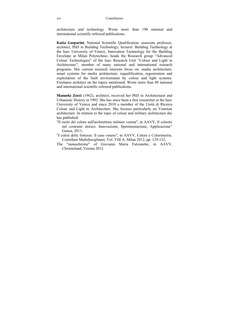#### xiv Contributors

architecture and technology. Wrote more than 190 national and international scientific refereed publications.

**Katia Gasparini**, National Scientific Qualification: associate professor, architect, PhD in Building Technology; lecturer: Building Technology at the Iuav University of Venice, Innovation Technology for the Building Envelope at Milan Polytechnic; heads the Research group "Advanced Colour Technologies" of the Iuav Research Unit "Colour and Light in Architecture"; member of many national and international research programs. Her current research interests focus on: media architecture; smart systems for media architecture; requalification, regeneration and exploitation of the built environment by colour and light systems. Freelance architect on the topics mentioned. Wrote more than 80 national and international scientific refereed publications.

**Manuela Zorzi** (1962), architect, received her PhD in Architectural and Urbanistic History in 1992. She has since been a free researcher at the Iuav University of Venice and since 2010 a member of the Unità di Ricerca Colour and Light in Architecture. She focuses particularly on Venetian architecture. In relation to the topic of colour and military architecture she has published:

- "Il ruolo del colore nell'architettura militare veneta", in AAVV, Il coloore nel costruito storico. Innovazione, Sperimentazione, Applicazione" Genoa, 2011;
- "I colori delle fortezze. Il caso veneto", in AAVV, Colore e Colorimetria. Contributi Multidisciplinari, Vol. VIII A, Milan 2012, pp. 129-132;
- The "monochrome" of Giovanni Maria Falconetto, in AAVV, Chromoland, Verona 2012.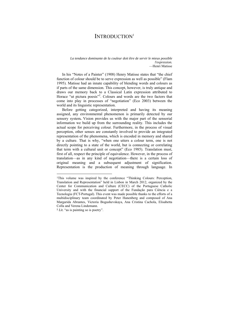# INTRODUCTION<sup>1</sup>

*La tendance dominante de la couleur doit être de servir le mieux possible l'expression.* —Henri Matisse

In his "Notes of a Painter" (1908) Henry Matisse states that "the chief function of colour should be to serve expression as well as possible" (Flam 1995). Matisse had an innate capability of blending words and colours as if parts of the same dimension. This concept, however, is truly antique and draws our memory back to a Classical Latin expression attributed to Horace "ut pictura poesis"<sup>2</sup>. Colours and words are the two factors that come into play in processes of "negotiation" (Eco 2003) between the world and its linguistic representation.

Before getting categorized, interpreted and having its meaning assigned, any environmental phenomenon is primarily detected by our sensory system**.** Vision provides us with the major part of the sensorial information we build up from the surrounding reality. This includes the actual scope for perceiving colour. Furthermore, in the process of visual perception, other senses are constantly involved to provide an integrated representation of the phenomena, which is encoded in memory and shared by a culture. That is why, "when one utters a colour term, one is not directly pointing to a state of the world, but is connecting or correlating that term with a cultural unit or concept" (Eco 1985). Translation must, first of all, respect the principle of equivalence. However, in the process of translation—as in any kind of negotiation—there is a certain loss of original meaning and a subsequent adjustment of signification. Representation is the production of meaning through language. In

1

<sup>1</sup>This volume was inspired by the conference "Thinking Colours: Perception, Translation and Representation" held in Lisbon in March 2012, organized by the Center for Communication and Culture (CECC) of the Portuguese Catholic University and with the financial support of the Fundação para Ciência e a Tecnologia (FCT-Portugal). This event was made possible thanks to the efforts of a multidisciplinary team coordinated by Peter Hanenberg and composed of Ana Margarida Abrantes, Victoria Bogushevskaya, Ana Cristina Cachola, Elisabetta Colla and Verena Lindemann.

<sup>&</sup>lt;sup>2</sup> *Lit.* "as is painting so is poetry".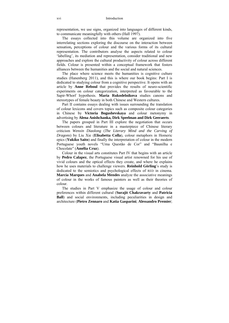representation, we use signs, organized into languages of different kinds, to communicate meaningfully with others (Hall 1997).

The essays collected into this volume are organized into five interrelating sections exploring the discourse on the interaction between sensation**,** perceptions of colour and the various forms of its cultural representation. The contributors analyse the aspects related to colour 'labelling', its mediation and representation, consider traditional and new approaches and explore the cultural productivity of colour across different fields. Colour is presented within a conceptual framework that fosters alliances between the humanities and the social and natural sciences.

The place where science meets the humanities is cognitive culture studies (Hanenberg 2011), and this is where our book begins: Part I is dedicated to studying colour from a cognitive perspective. It opens with an article by **Anne Reboul** that provides the results of neuro-scientific experiments on colour categorization, interpreted as favourable to the Sapir-Whorf hypothesis. **Maria Rukodelnikova** studies canons and stereotypes of female beauty in both Chinese and Western cultures.

Part II contains essays dealing with issues surrounding the translation of colour lexicons and covers topics such as composite colour categories in Chinese by **Victoria Bogushevskaya** and colour metonymy in advertising by **Alena Anishchanka, Dirk Speelman and Dirk Geeraerts**.

The papers grouped in Part III explore the negotiation that occurs between colours and literature in a masterpiece of Chinese literary criticism *Wenxin Diaolong* (*The Literary Mind and the Carving of Dragons*) by Liu Xie (**Elisabetta Colla**), colour metaphors in Homeric epics (**Yukiko Saito**) and finally the interpretation of colour in the modern Portuguese youth novels "Uma Questão de Cor" and "Baunilha e Chocolate" (**Amélia Cruz**).

Colour in the visual arts constitutes Part IV that begins with an article by **Pedro Calapez**, the Portuguese visual artist renowned for his use of vivid colours and the optical effects they create, and where he explains how he uses materials to challenge viewers. **Reinhold Görling**'s study is dedicated to the semiotics and psychological effects of RED in cinema. **Marcia Marques** and **Anabela Mendes** analyze the associative meanings of colour in the works of famous painters as well as their theories of colour.

The studies in Part V emphasize the usage of colour and colour preferences within different cultural (**Surajit Chakravarty** and **Patricia Ball**) and social environments, including peculiarities in design and architecture (**Pietro Zennaro** and **Katia Gasparini**; **Alessandro Premier**;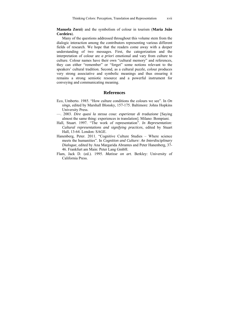**Manuela Zorzi**) and the symbolism of colour in tourism (**Maria João Cordeiro**).

Many of the questions addressed throughout this volume stem from the dialogic interaction among the contributors representing various different fields of research. We hope that the readers come away with a deeper understanding of two messages. First, the categorization and the interpretation of colour are *a priori* emotional and vary from culture to culture. Colour names have their own "cultural memory" and references, they can either "remember" or "forget" some notions relevant to the speakers' cultural tradition. Second, as a cultural puzzle, colour produces very strong associative and symbolic meanings and thus ensuring it remains a strong semiotic resource and a powerful instrument for conveying and communicating meaning.

## **References**

- Eco, Umberto. 1985. "How culture conditions the colours we see". In *On sings*, edited by Marshall Blonsky, 157-175. Baltimore: Johns Hopkins University Press.
- —. 2003. *Dire quasi la stessa cosa: esperienze di traduzione* [Saying almost the same thing: experiences in translation]. Milano: Bompiani.
- Hall, Stuart. 1997. "The work of representation". *In Representation: Cultural representations and signifying practices*, edited by Stuart Hall, 13-64. London: SAGE.
- Hanenberg, Peter. 2011. "Cognitive Culture Studies Where science meets the humanities". In *Cognition and Culture: An Interdisciplinary Dialogue*, edited by Ana Margarida Abrantes and Peter Hanenberg, 37- 46. Frankfurt am Main: Peter Lang GmbH.
- Flam, Jack D. (ed.). 1995. *Matisse on art*. Berkley: University of California Press.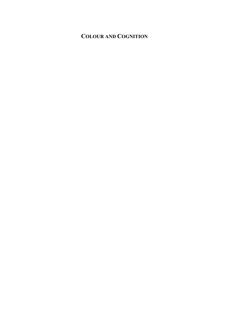# **COLOUR AND COGNITION**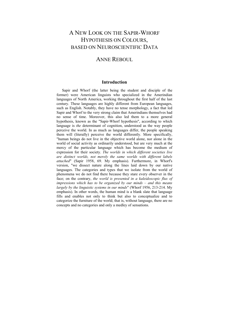# A NEW LOOK ON THE SAPIR-WHORF HYPOTHESIS ON COLOURS, BASED ON NEUROSCIENTIFIC DATA

# **ANNE REBOUL**

# **Introduction**

Sapir and Whorf (the latter being the student and disciple of the former) were American linguists who specialized in the Amerindian languages of North America, working throughout the first half of the last century. These languages are highly different from European languages, such as English. Notably, they have no tense morphology, a fact that led Sapir and Whorf to the very strong claim that Amerindians themselves had no sense of time. Moreover, this also led them to a more general hypothesis, known as the "Sapir-Whorf hypothesis", according to which language is *the* determinant of cognition, understood as the way people perceive the world. In as much as languages differ, the people speaking them will (literally) perceive the world differently. More specifically, "human beings do not live in the objective world alone, nor alone in the world of social activity as ordinarily understood, but are very much at the mercy of the particular language which has become the medium of expression for their society. *The worlds in which different societies live are distinct worlds, not merely the same worlds with different labels attached*" (Sapir 1958, 69. My emphasis). Furthermore, in Whorf's version, "we dissect nature along the lines laid down by our native languages. The categories and types that we isolate from the world of phenomena we do not find there because they stare every observer in the face; on the contrary, *the world is presented in a kaleidoscopic flux of impressions which has to be organized by our minds – and this means largely by the linguistic systems in our minds*" (Whorf 1956, 213-214. My emphasis). In other words, the human mind is a blank slate that language fills and enables not only to think but also to conceptualize and to categorize the furniture of the world; that is, without language, there are no concepts and no categories and only a medley of sensations.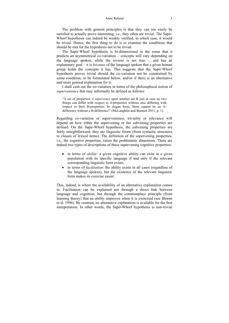#### Anne Reboul 3

The problem with general principles is that they can too easily be satisfied to actually prove interesting, i.e., they often are trivial. The Sapir-Whorf hypothesis can indeed be weakly verified, in which case, it would be trivial. Hence, the first thing to do is to examine the conditions that should be met for the hypothesis not to be trivial.

The Sapir-Whorf hypothesis is bi-dimensional in the sense that it predicts an asymmetrical co-variation – concepts will vary depending on the language spoken, while the reverse is not true –, and has an explanatory goal – it is *because* of the language spoken that a given human group holds the concepts it has. This suggests that the Sapir-Whorf hypothesis proves trivial should the co-variation not be constrained by some condition, to be formulated below, and/or if there is an alternative and more general explanation for it.

I shall cash out the co-variation in terms of the philosophical notion of *supervenience* that may informally be defined as follows:

"A set of properties *A supervenes* upon another set B just in case no two things can differ with respect to *A*-properties without also differing with respect to their B-properties. In slogan form, 'there cannot be an Adifference without a B-difference'" (McLaughlin and Bennett 2011, p. 1).

Regarding co-variation or supervenience, triviality or relevance will depend on how either the supervening or the subvening properties are defined. On the Sapir-Whorf hypothesis, the subvening properties are fairly straightforward: they are linguistic forms (from syntactic structures to classes of lexical items). The definition of the supervening properties, i.e., the cognitive properties, raises the problematic dimension. There are indeed two types of descriptions of these supervening cognitive properties:

- in terms of *ability*: a given cognitive ability can exist in a given population with its specific language if and only if the relevant corresponding linguistic form exists;
- in terms of *facilitation*: the ability exists in all cases (regardless of the language spoken), but the existence of the relevant linguistic form makes its exercise easier.

This, indeed, is where the availability of an alternative explanation comes in. Facilitation can be explained not through a direct link between language and cognition, but through the commonplace principle (from learning theory) that an ability improves when it is exercised (see Bloom et al. 1996). By contrast, no alternative explanation is available for the first interpretation. In other words, the Sapir-Whorf hypothesis is non-trivial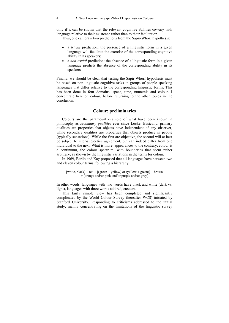only if it can be shown that the relevant cognitive abilities co-vary with language relative to their existence rather than to their facilitation.

Thus, one can draw two predictions from the Sapir-Whorf hypothesis:

- a *trivial* prediction: the presence of a linguistic form in a given language will facilitate the exercise of the corresponding cognitive ability in its speakers;
- a *non-trivial* prediction: the absence of a linguistic form in a given language predicts the absence of the corresponding ability in its speakers.

Finally, we should be clear that testing the Sapir-Whorf hypothesis must be based on non-linguistic cognitive tasks in groups of people speaking languages that differ relative to the corresponding linguistic forms. This has been done in four domains: space, time, numerals and colour. I concentrate here on colour, before returning to the other topics in the conclusion.

# **Colour: preliminaries**

Colours are the paramount example of what have been known in philosophy as *secondary qualities* ever since Locke. Basically, primary qualities are properties that objects have independent of any observer, while secondary qualities are properties that objects produce in people (typically sensations). While the first are objective, the second will at best be subject to inter-subjective agreement, but can indeed differ from one individual to the next. What is more, appearances to the contrary, colour is a continuum, the colour spectrum, with boundaries that seem rather arbitrary, as shown by the linguistic variations in the terms for colour.

In 1969, Berlin and Kay proposed that all languages have between two and eleven colour terms, following a hierarchy:

[white, black] + red +  $[(green + yellow)$  or  $(yellow + green)] + brown$ + [orange and/or pink and/or purple and/or grey]

In other words, languages with two words have black and white (dark vs. light), languages with three words add red, etcetera.

This fairly simple view has been completed and significantly complicated by the World Colour Survey (hereafter WCS) initiated by Stanford University. Responding to criticisms addressed to the initial study, mainly concentrating on the limitations of the linguistic survey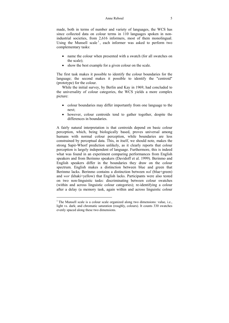#### Anne Reboul 5

made, both in terms of number and variety of languages, the WCS has since collected data on colour terms in 110 languages spoken in nonindustrial societies, from 2,616 informers, most of them monolingual. Using the Munsell scale  $\frac{1}{x}$  each informer was asked to perform two complementary tasks:

- name the colour when presented with a swatch (for all swatches on the scale);
- show the best example for a given colour on the scale.

The first task makes it possible to identify the colour boundaries for the language; the second makes it possible to identify the "centroid" (prototype) for the colour.

While the initial survey, by Berlin and Kay in 1969, had concluded to the universality of colour categories, the WCS yields a more complex picture:

- colour boundaries may differ importantly from one language to the next;
- however, colour centroids tend to gather together, despite the differences in boundaries.

A fairly natural interpretation is that centroids depend on basic colour perception, which, being biologically based, proves universal among humans with normal colour perception, while boundaries are less constrained by perceptual data. This, in itself, we should note, makes the strong Sapir-Whorf prediction unlikely, as it clearly reports that colour perception is largely independent of language. Furthermore, this is indeed what was found in an experiment comparing performances from English speakers and from Berinmo speakers (Davidoff et al. 1999). Berinmo and English speakers differ in the boundaries they draw on the colour spectrum. English makes a distinction between blue and green that Berinmo lacks. Berinmo contains a distinction between *nol* (blue+green) and *wor* (khaki+yellow) that English lacks. Participants were also tested on two non-linguistic tasks: discriminating between colour swatches (within and across linguistic colour categories); re-identifying a colour after a delay (a memory task, again within and across linguistic colour

 $\overline{a}$ 

<sup>&</sup>lt;sup>1</sup> The Munsell scale is a colour scale organized along two dimensions: value, i.e., light vs. dark; and chromatic saturation (roughly, colours). It counts 330 swatches evenly spaced along these two dimensions.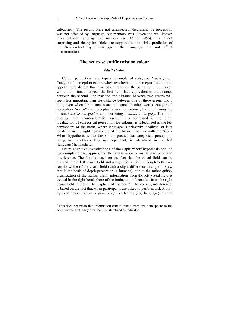categories). The results were not unexpected: discriminative perception was not affected by language, but memory was. Given the well-known links between language and memory (see Miller 1956), this is not surprising and clearly insufficient to support the non-trivial prediction of the Sapir-Whorf hypothesis given that language did not affect discrimination.

### **The neuro-scientific twist on colour**

### *Adult studies*

Colour perception is a typical example of *categorical perception*. Categorical perception occurs when two items on a perceptual continuum appear more distant than two other items on the same continuum even while the distance between the first is, in fact, equivalent to the distance between the second. For instance, the distance between two greens will seem less important than the distance between one of these greens and a blue, even when the distances are the same. In other words, categorical perception "warps" the perceptual space for colours, by lengthening the distance *across categories*, and shortening it *within a category*. The main question that neuro-scientific research has addressed is the brain localization of categorical perception for colours: is it localized in the left hemisphere of the brain, where language is primarily localized, or is it localized in the right hemisphere of the brain? The link with the Sapir-Whorf hypothesis is that this should predict that categorical perception, being by hypothesis language dependent, is lateralized in the left (language) hemisphere.

Neuro-cognitive investigations of the Sapir-Whorf hypothesis applied two complementary approaches: the lateralization of visual perception and interference. The first is based on the fact that the visual field can be divided into a left visual field and a right visual field. Though both eyes see the whole of the visual field (with a slight difference in angle of view that is the basis of depth perception in humans), due to the rather quirky organization of the human brain, information from the left visual field is treated in the right hemisphere of the brain, and information from the right visual field in the left hemisphere of the brain<sup>2</sup>. The second, interference, is based on the fact that when participants are asked to perform task A that, by hypothesis, involves a given cognitive faculty (e.g. language), a good

<sup>&</sup>lt;sup>2</sup> This does not mean that information cannot transit from one hemisphere to the next, but the first, early, treatment is lateralized as indicated.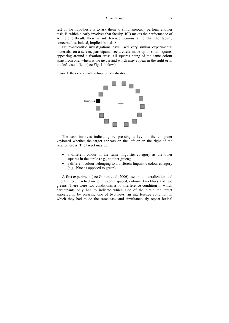#### Anne Reboul 7

test of the hypothesis is to ask them to simultaneously perform another task, B, which clearly involves that faculty. If B makes the performance of A more difficult, there is interference demonstrating that the faculty concerned is, indeed, implied in task A.

Neuro-scientific investigations have used very similar experimental materials: on a screen, participants see a circle made up of small squares appearing around a fixation cross, all squares being of the same colour apart from one, which is the *target* and which may appear in the right or in the left visual field (see Fig. 1, below):

Figure 1: the experimental set-up for lateralization



The task involves indicating by pressing a key on the computer keyboard whether the target appears on the left or on the right of the fixation cross. The target may be:

- a different colour in the same linguistic category as the other squares in the circle (e.g., another green);
- a different colour belonging to a different linguistic colour category (e.g., blue as opposed to green).

A first experiment (see Gilbert et al. 2006) used both lateralization and interference. It relied on four, evenly spaced, colours: two blues and two greens. There were two conditions: a no-interference condition in which participants only had to indicate which side of the circle the target appeared in by pressing one of two keys; an interference condition in which they had to do the same task and simultaneously repeat lexical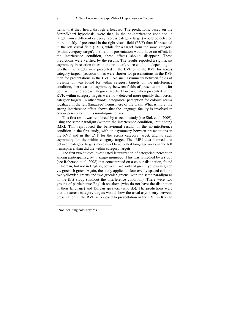items<sup>3</sup> that they heard through a headset. The predictions, based on the Sapir-Whorf hypothesis, were that, in the no-interference condition, a target from a different category (across category target) would be detected more quickly if presented in the right visual field (RVF) than if presented in the left visual field (LVF), while for a target from the same category (within category target), the field of presentation would have no effect. In the interference condition, these effects should disappear. These predictions were verified by the results. The results reported a significant asymmetry in reaction times in the no-interference condition depending on whether the targets were presented in the LVF or in the RVF for across category targets (reaction times were shorter for presentations in the RVF than for presentations in the LVF). No such asymmetry between fields of presentation was found for within category targets. In the interference condition, there was an asymmetry between fields of presentation but for both within and across category targets. However, when presented in the RVF, within category targets were now detected more quickly than across category targets. In other words, categorical perception for colours seems localized in the left (language) hemisphere of the brain. What is more, the strong interference effect shows that the language faculty is involved in colour perception in this non-linguistic task.

This first result was reinforced by a second study (see Siok et al. 2009), using the same paradigm (without the interference condition), but adding fMRI. This reproduced the behavioural results of the no-interference condition in the first study, with an asymmetry between presentations in the RVF and in the LVF for the across category target, and no such asymmetry for the within category target. The fMRI data showed that between category targets more quickly activated language areas in the left hemisphere, than did the within category targets.

The first two studies investigated lateralization of categorical perception among participants *from a single language*. This was remedied by a study (see Roberson et al. 2008) that concentrated on a colour distinction, found in Korean, but not in English, between two sorts of green: yellowish green vs. greenish green. Again, the study applied to four evenly spaced colours, two yellowish greens and two greenish greens, with the same paradigm as in the first study (without the interference condition). There were two groups of participants: English speakers (who do not have the distinction in their language) and Korean speakers (who do). The predictions were that the across-category targets would show the usual asymmetry between presentation in the RVF as opposed to presentation in the LVF in Korean

<sup>&</sup>lt;sup>3</sup> Not including colour words.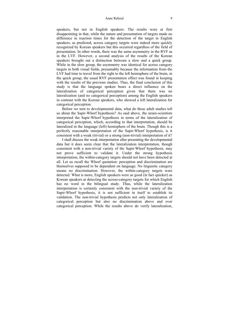#### Anne Reboul 9

speakers, but not in English speakers. The results were at first disappointing in that, while the nature and presentation of targets made no difference in reaction times for the detection of the target in English speakers, as predicted, across category targets were indeed more quickly recognized by Korean speakers but this occurred regardless of the field of presentation. In other words, there was the same asymmetry in the RVF as in the LVF. However, a second analysis of the results of the Korean speakers brought out a distinction between a slow and a quick group. While in the slow group, the asymmetry was identical for across category targets in both visual fields, presumably because the information from the LVF had time to travel from the right to the left hemisphere of the brain, in the quick group, the usual RVF presentation effect was found in keeping with the results of the previous studies. Thus, the final conclusion of this study is that the language spoken bears a direct influence on the lateralization of categorical perception given that there was no lateralization (and no categorical perception) among the English speakers in contrast with the Korean speakers, who showed a left lateralization for categorical perception.

Before we turn to developmental data, what do these adult studies tell us about the Sapir-Whorf hypothesis? As said above, the neuro-scientists interpreted the Sapir-Whorf hypothesis in terms of the lateralization of categorical perception, which, according to that interpretation, should be lateralized in the language (left) hemisphere of the brain. Though this is a perfectly reasonable interpretation of the Sapir-Whorf hypothesis, is it consistent with a weak (trivial) or a strong (non-trivial) interpretation of it?

I shall discuss the weak interpretation after presenting the developmental data but it does seem clear that the lateralization interpretation, though consistent with a non-trivial variety of the Sapir-Whorf hypothesis, may not prove sufficient to validate it. Under the strong hypothesis interpretation, the within-category targets should not have been detected at all. Let us recall the Whorf quotation: perception and discrimination are themselves supposed to be dependent on language. No linguistic category means no discrimination. However, the within-category targets were detected. What is more, English speakers were as good (in fact quicker) as Korean speakers at detecting the across-category targets for which English has no word in the bilingual study. Thus, while the lateralization interpretation is certainly consistent with the non-trivial variety of the Sapir-Whorf hypothesis, it is not sufficient in itself to establish its validation. The non-trivial hypothesis predicts not only lateralization of categorical perception but also no discrimination above and over categorical perception. While the results above do verify lateralization,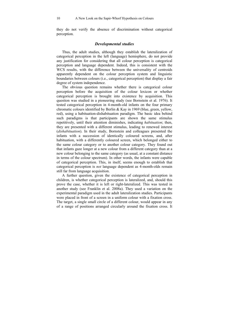they do not verify the absence of discrimination without categorical perception.

## *Developmental studies*

Thus, the adult studies, although they establish the lateralization of categorical perception in the left (language) hemisphere, do not provide any justification for considering that all colour perception is categorical perception and language dependent. Indeed, this is consistent with the WCS results, with the difference between the universality of centroids apparently dependent on the colour perception system and linguistic boundaries between colours (i.e., categorical perception) that display a fair degree of system independence.

The obvious question remains whether there is categorical colour perception before the acquisition of the colour lexicon or whether categorical perception is brought into existence by acquisition. This question was studied in a pioneering study (see Bornstein et al. 1976). It tested categorical perception in 4-month-old infants on the four primary chromatic colours identified by Berlin & Kay in 1969 (blue, green, yellow, red), using a habituation-dishabituation paradigm. The basic idea behind such paradigms is that participants are shown the same stimulus repetitively, until their attention diminishes, indicating *habituation*; then, they are presented with a different stimulus, leading to renewed interest (*dishabituation*). In their study, Bornstein and colleagues presented the infants with a succession of identically coloured screens, and, after habituation, with a differently coloured screen, which belonged either to the same colour category or to another colour category. They found out that infants gaze longer at a new colour from a different category than at a new colour belonging to the same category (as usual, at a constant distance in terms of the colour spectrum). In other words, the infants were capable of categorical perception. This, in itself, seems enough to establish that categorical perception is *not* language dependent as 4-month-olds remain still far from language acquisition.

A further question, given the existence of categorical perception in children, is whether categorical perception is lateralized, and, should this prove the case, whether it is left or right-lateralized. This was tested in another study (see Franklin et al. 2008a). They used a variation on the experimental paradigm used in the adult lateralization studies. Participants were placed in front of a screen in a uniform colour with a fixation cross. The target, a single small circle of a different colour, would appear in any of a range of positions arranged circularly around the fixation cross. It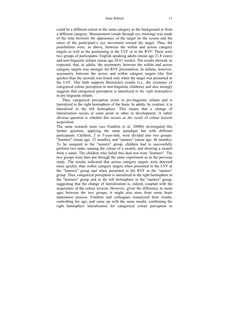#### Anne Reboul 11

could be a different colour in the same category as the background or from a different category. Measurement (made through eye tracking) was made of the time between the appearance of the target on the screen and the onset of the participant's eye movement toward the target. Thus, the possibilities were, as above, between the within and across category targets as well as the positioning in the LVF or in the RVF. There were two groups of participants: English speaking adults (mean age 21.8 years) and non-linguistic infants (mean age 20.61 weeks). The results showed, as expected, that, in adults, the asymmetry between the within and across category targets was stronger for RVF presentation. In infants, however, asymmetry between the across and within category targets (the first quicker than the second) was found only when the target was presented in the LVF. This both supports Bornstein's results (i.e., the existence of categorical colour perception in non-linguistic children), and also strongly suggests that categorical perception is lateralized *in the right hemisphere* in pre-linguistic infants.

Thus, categorical perception exists in pre-linguistic infants and is lateralized in the right hemisphere of the brain. In adults, by contrast, it is lateralized in the left hemisphere. This means that a change of lateralization occurs at some point or other in development. A rather obvious question is whether this occurs *as the result* of colour lexicon acquisition.

The same research team (see Franklin et al. 2008b) investigated this further question, applying the same paradigm but with different participants. Children, 2 to 5-year-olds, were divided into two groups: "learners" (mean age: 32 months); and "namers" (mean age: 46 months). To be assigned to the "namers" group, children had to successfully perform two tasks: naming the colour of a swatch, and showing a swatch from a name. The children who failed this dual test were "learners". The two groups were then put through the same experiment as in the previous study. The results indicated that across category targets were detected more quickly than within category targets when presented in the LVF in the "learners" group and when presented in the RVF in the "namers" group. Thus, categorical perception is lateralized in the right hemisphere in the "learners" group and in the left hemisphere in the "namers" group, suggesting that the change of lateralization is, indeed, coupled with the acquisition of the colour lexicon. However, given the difference in mean ages between the two groups, it might also stem from some brain maturation process. Franklin and colleagues reanalyzed their results, controlling for age, and came up with the same results, confirming the right hemisphere lateralization for categorical colour perception in